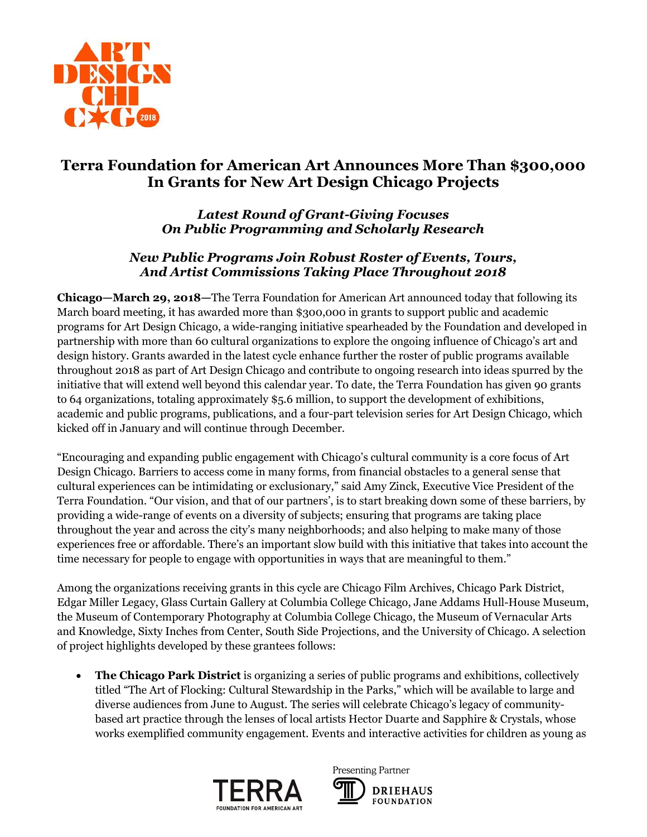

# **Terra Foundation for American Art Announces More Than \$300,000 In Grants for New Art Design Chicago Projects**

## *Latest Round of Grant-Giving Focuses On Public Programming and Scholarly Research*

### *New Public Programs Join Robust Roster of Events, Tours, And Artist Commissions Taking Place Throughout 2018*

**Chicago—March 29, 2018—**The Terra Foundation for American Art announced today that following its March board meeting, it has awarded more than \$300,000 in grants to support public and academic programs for Art Design Chicago, a wide-ranging initiative spearheaded by the Foundation and developed in partnership with more than 60 cultural organizations to explore the ongoing influence of Chicago's art and design history. Grants awarded in the latest cycle enhance further the roster of public programs available throughout 2018 as part of Art Design Chicago and contribute to ongoing research into ideas spurred by the initiative that will extend well beyond this calendar year. To date, the Terra Foundation has given 90 grants to 64 organizations, totaling approximately \$5.6 million, to support the development of exhibitions, academic and public programs, publications, and a four-part television series for Art Design Chicago, which kicked off in January and will continue through December.

"Encouraging and expanding public engagement with Chicago's cultural community is a core focus of Art Design Chicago. Barriers to access come in many forms, from financial obstacles to a general sense that cultural experiences can be intimidating or exclusionary," said Amy Zinck, Executive Vice President of the Terra Foundation. "Our vision, and that of our partners', is to start breaking down some of these barriers, by providing a wide-range of events on a diversity of subjects; ensuring that programs are taking place throughout the year and across the city's many neighborhoods; and also helping to make many of those experiences free or affordable. There's an important slow build with this initiative that takes into account the time necessary for people to engage with opportunities in ways that are meaningful to them."

Among the organizations receiving grants in this cycle are Chicago Film Archives, Chicago Park District, Edgar Miller Legacy, Glass Curtain Gallery at Columbia College Chicago, Jane Addams Hull-House Museum, the Museum of Contemporary Photography at Columbia College Chicago, the Museum of Vernacular Arts and Knowledge, Sixty Inches from Center, South Side Projections, and the University of Chicago. A selection of project highlights developed by these grantees follows:

 **The Chicago Park District** is organizing a series of public programs and exhibitions, collectively titled "The Art of Flocking: Cultural Stewardship in the Parks," which will be available to large and diverse audiences from June to August. The series will celebrate Chicago's legacy of communitybased art practice through the lenses of local artists Hector Duarte and Sapphire & Crystals, whose works exemplified community engagement. Events and interactive activities for children as young as



Presenting Partner **DRIEHAUS FOUNDATION**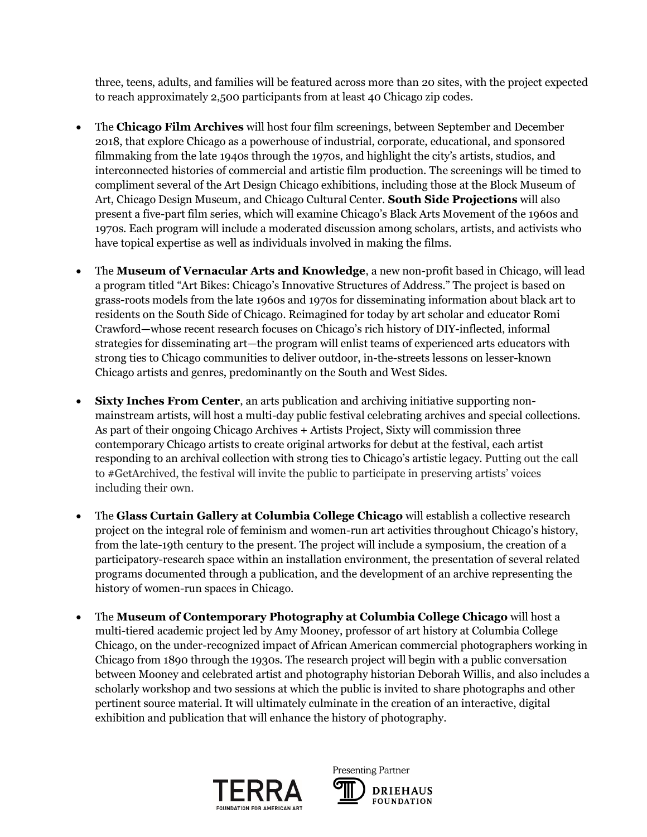three, teens, adults, and families will be featured across more than 20 sites, with the project expected to reach approximately 2,500 participants from at least 40 Chicago zip codes.

- The **Chicago Film Archives** will host four film screenings, between September and December 2018, that explore Chicago as a powerhouse of industrial, corporate, educational, and sponsored filmmaking from the late 1940s through the 1970s, and highlight the city's artists, studios, and interconnected histories of commercial and artistic film production. The screenings will be timed to compliment several of the Art Design Chicago exhibitions, including those at the Block Museum of Art, Chicago Design Museum, and Chicago Cultural Center. **South Side Projections** will also present a five-part film series, which will examine Chicago's Black Arts Movement of the 1960s and 1970s. Each program will include a moderated discussion among scholars, artists, and activists who have topical expertise as well as individuals involved in making the films.
- The **Museum of Vernacular Arts and Knowledge**, a new non-profit based in Chicago, will lead a program titled "Art Bikes: Chicago's Innovative Structures of Address." The project is based on grass-roots models from the late 1960s and 1970s for disseminating information about black art to residents on the South Side of Chicago. Reimagined for today by art scholar and educator Romi Crawford—whose recent research focuses on Chicago's rich history of DIY-inflected, informal strategies for disseminating art—the program will enlist teams of experienced arts educators with strong ties to Chicago communities to deliver outdoor, in-the-streets lessons on lesser-known Chicago artists and genres, predominantly on the South and West Sides.
- **Sixty Inches From Center**, an arts publication and archiving initiative supporting nonmainstream artists, will host a multi-day public festival celebrating archives and special collections. As part of their ongoing Chicago Archives + Artists Project, Sixty will commission three contemporary Chicago artists to create original artworks for debut at the festival, each artist responding to an archival collection with strong ties to Chicago's artistic legacy. Putting out the call to #GetArchived, the festival will invite the public to participate in preserving artists' voices including their own.
- The **Glass Curtain Gallery at Columbia College Chicago** will establish a collective research project on the integral role of feminism and women-run art activities throughout Chicago's history, from the late-19th century to the present. The project will include a symposium, the creation of a participatory-research space within an installation environment, the presentation of several related programs documented through a publication, and the development of an archive representing the history of women-run spaces in Chicago.
- The **Museum of Contemporary Photography at Columbia College Chicago** will host a multi-tiered academic project led by Amy Mooney, professor of art history at Columbia College Chicago, on the under-recognized impact of African American commercial photographers working in Chicago from 1890 through the 1930s. The research project will begin with a public conversation between Mooney and celebrated artist and photography historian Deborah Willis, and also includes a scholarly workshop and two sessions at which the public is invited to share photographs and other pertinent source material. It will ultimately culminate in the creation of an interactive, digital exhibition and publication that will enhance the history of photography.



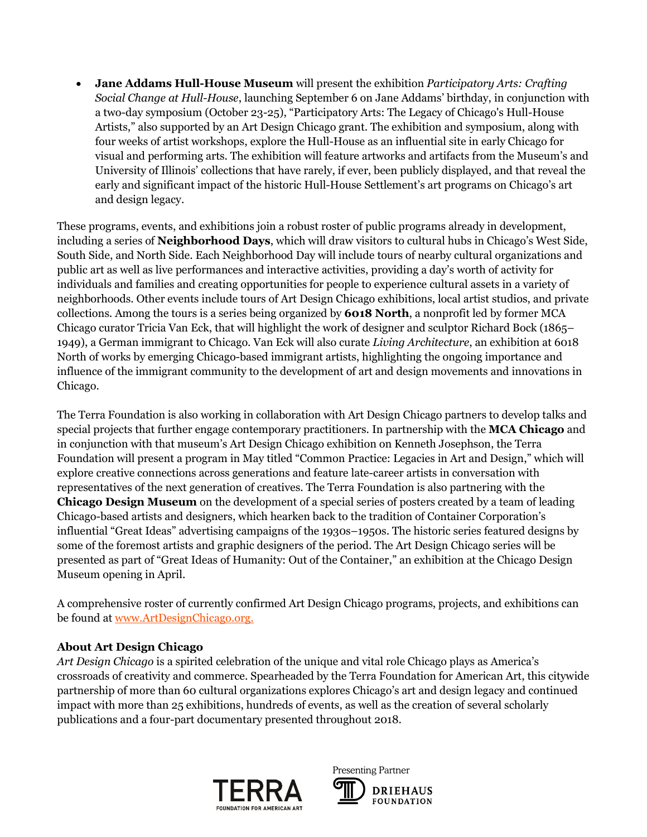**Jane Addams Hull-House Museum** will present the exhibition *Participatory Arts: Crafting Social Change at Hull-House*, launching September 6 on Jane Addams' birthday, in conjunction with a two-day symposium (October 23-25), "Participatory Arts: The Legacy of Chicago's Hull-House Artists," also supported by an Art Design Chicago grant. The exhibition and symposium, along with four weeks of artist workshops, explore the Hull-House as an influential site in early Chicago for visual and performing arts. The exhibition will feature artworks and artifacts from the Museum's and University of Illinois' collections that have rarely, if ever, been publicly displayed, and that reveal the early and significant impact of the historic Hull-House Settlement's art programs on Chicago's art and design legacy.

These programs, events, and exhibitions join a robust roster of public programs already in development, including a series of **Neighborhood Days**, which will draw visitors to cultural hubs in Chicago's West Side, South Side, and North Side. Each Neighborhood Day will include tours of nearby cultural organizations and public art as well as live performances and interactive activities, providing a day's worth of activity for individuals and families and creating opportunities for people to experience cultural assets in a variety of neighborhoods. Other events include tours of Art Design Chicago exhibitions, local artist studios, and private collections. Among the tours is a series being organized by **6018 North**, a nonprofit led by former MCA Chicago curator Tricia Van Eck, that will highlight the work of designer and sculptor Richard Bock (1865– 1949), a German immigrant to Chicago. Van Eck will also curate *Living Architecture*, an exhibition at 6018 North of works by emerging Chicago-based immigrant artists, highlighting the ongoing importance and influence of the immigrant community to the development of art and design movements and innovations in Chicago.

The Terra Foundation is also working in collaboration with Art Design Chicago partners to develop talks and special projects that further engage contemporary practitioners. In partnership with the **MCA Chicago** and in conjunction with that museum's Art Design Chicago exhibition on Kenneth Josephson, the Terra Foundation will present a program in May titled "Common Practice: Legacies in Art and Design," which will explore creative connections across generations and feature late-career artists in conversation with representatives of the next generation of creatives. The Terra Foundation is also partnering with the **Chicago Design Museum** on the development of a special series of posters created by a team of leading Chicago-based artists and designers, which hearken back to the tradition of Container Corporation's influential "Great Ideas" advertising campaigns of the 1930s–1950s. The historic series featured designs by some of the foremost artists and graphic designers of the period. The Art Design Chicago series will be presented as part of "Great Ideas of Humanity: Out of the Container," an exhibition at the Chicago Design Museum opening in April.

A comprehensive roster of currently confirmed Art Design Chicago programs, projects, and exhibitions can be found at [www.ArtDesignChicago.org.](http://www.artdesignchicago.org/)

### **About Art Design Chicago**

*Art Design Chicago* is a spirited celebration of the unique and vital role Chicago plays as America's crossroads of creativity and commerce. Spearheaded by the Terra Foundation for American Art, this citywide partnership of more than 60 cultural organizations explores Chicago's art and design legacy and continued impact with more than 25 exhibitions, hundreds of events, as well as the creation of several scholarly publications and a four-part documentary presented throughout 2018.